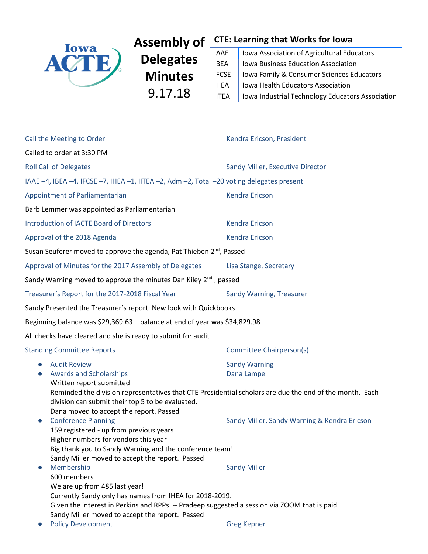

**Delegates Minutes** 9.17.18

# **Assembly of CTE: Learning that Works for Iowa**

| <b>IAAE</b>  | Iowa Association of Agricultural Educators       |
|--------------|--------------------------------------------------|
| <b>IBEA</b>  | Iowa Business Education Association              |
| <b>IFCSE</b> | Iowa Family & Consumer Sciences Educators        |
| <b>IHEA</b>  | Iowa Health Educators Association                |
| <b>IITEA</b> | Iowa Industrial Technology Educators Association |

| Call the Meeting to Order                                                                                                                                                                                                                                                                                         | Kendra Ericson, President                    |  |  |  |  |  |
|-------------------------------------------------------------------------------------------------------------------------------------------------------------------------------------------------------------------------------------------------------------------------------------------------------------------|----------------------------------------------|--|--|--|--|--|
| Called to order at 3:30 PM                                                                                                                                                                                                                                                                                        |                                              |  |  |  |  |  |
| <b>Roll Call of Delegates</b>                                                                                                                                                                                                                                                                                     | Sandy Miller, Executive Director             |  |  |  |  |  |
| IAAE -4, IBEA -4, IFCSE -7, IHEA -1, IITEA -2, Adm -2, Total -20 voting delegates present                                                                                                                                                                                                                         |                                              |  |  |  |  |  |
| Appointment of Parliamentarian                                                                                                                                                                                                                                                                                    | <b>Kendra Ericson</b>                        |  |  |  |  |  |
| Barb Lemmer was appointed as Parliamentarian                                                                                                                                                                                                                                                                      |                                              |  |  |  |  |  |
| Introduction of IACTE Board of Directors                                                                                                                                                                                                                                                                          | <b>Kendra Ericson</b>                        |  |  |  |  |  |
| Approval of the 2018 Agenda                                                                                                                                                                                                                                                                                       | <b>Kendra Ericson</b>                        |  |  |  |  |  |
| Susan Seuferer moved to approve the agenda, Pat Thieben 2 <sup>nd</sup> , Passed                                                                                                                                                                                                                                  |                                              |  |  |  |  |  |
| Approval of Minutes for the 2017 Assembly of Delegates                                                                                                                                                                                                                                                            | Lisa Stange, Secretary                       |  |  |  |  |  |
| Sandy Warning moved to approve the minutes Dan Kiley 2 <sup>nd</sup> , passed                                                                                                                                                                                                                                     |                                              |  |  |  |  |  |
| Treasurer's Report for the 2017-2018 Fiscal Year                                                                                                                                                                                                                                                                  | Sandy Warning, Treasurer                     |  |  |  |  |  |
| Sandy Presented the Treasurer's report. New look with Quickbooks                                                                                                                                                                                                                                                  |                                              |  |  |  |  |  |
| Beginning balance was \$29,369.63 - balance at end of year was \$34,829.98                                                                                                                                                                                                                                        |                                              |  |  |  |  |  |
| All checks have cleared and she is ready to submit for audit                                                                                                                                                                                                                                                      |                                              |  |  |  |  |  |
| <b>Standing Committee Reports</b>                                                                                                                                                                                                                                                                                 | Committee Chairperson(s)                     |  |  |  |  |  |
| <b>Audit Review</b><br><b>Sandy Warning</b><br>$\bullet$<br><b>Awards and Scholarships</b><br>Dana Lampe<br>$\bullet$<br>Written report submitted<br>Reminded the division representatives that CTE Presidential scholars are due the end of the month. Each<br>division can submit their top 5 to be evaluated.  |                                              |  |  |  |  |  |
| Dana moved to accept the report. Passed<br><b>Conference Planning</b><br>$\bullet$<br>159 registered - up from previous years<br>Higher numbers for vendors this year<br>Big thank you to Sandy Warning and the conference team!<br>Sandy Miller moved to accept the report. Passed                               | Sandy Miller, Sandy Warning & Kendra Ericson |  |  |  |  |  |
| Membership<br>$\bullet$<br>600 members<br>We are up from 485 last year!<br>Currently Sandy only has names from IHEA for 2018-2019.<br>Given the interest in Perkins and RPPs -- Pradeep suggested a session via ZOOM that is paid<br>Sandy Miller moved to accept the report. Passed<br><b>Policy Development</b> | <b>Sandy Miller</b><br><b>Greg Kepner</b>    |  |  |  |  |  |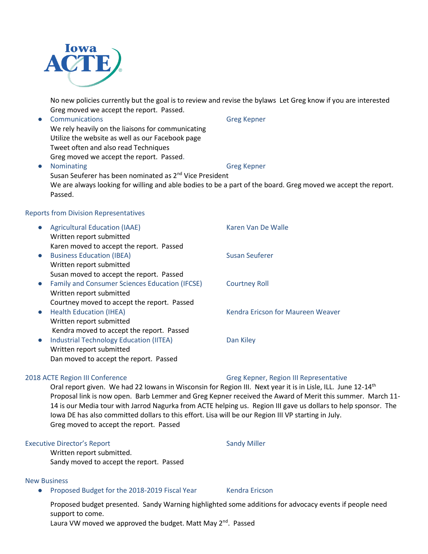

No new policies currently but the goal is to review and revise the bylaws Let Greg know if you are interested Greg moved we accept the report. Passed.

● Communications Greg Kepner We rely heavily on the liaisons for communicating Utilize the website as well as our Facebook page Tweet often and also read Techniques Greg moved we accept the report. Passed. ● Nominating Greg Kepner Susan Seuferer has been nominated as 2<sup>nd</sup> Vice President We are always looking for willing and able bodies to be a part of the board. Greg moved we accept the report. Passed.

#### Reports from Division Representatives

| $\bullet$ | <b>Agricultural Education (IAAE)</b>                  | Karen Van De Walle                |
|-----------|-------------------------------------------------------|-----------------------------------|
|           | Written report submitted                              |                                   |
|           | Karen moved to accept the report. Passed              |                                   |
| $\bullet$ | <b>Business Education (IBEA)</b>                      | Susan Seuferer                    |
|           | Written report submitted                              |                                   |
|           | Susan moved to accept the report. Passed              |                                   |
| $\bullet$ | <b>Family and Consumer Sciences Education (IFCSE)</b> | <b>Courtney Roll</b>              |
|           | Written report submitted                              |                                   |
|           | Courtney moved to accept the report. Passed           |                                   |
| $\bullet$ | <b>Health Education (IHEA)</b>                        | Kendra Ericson for Maureen Weaver |
|           | Written report submitted                              |                                   |
|           | Kendra moved to accept the report. Passed             |                                   |
| $\bullet$ | <b>Industrial Technology Education (IITEA)</b>        | Dan Kiley                         |
|           | Written report submitted                              |                                   |
|           | Dan moved to accept the report. Passed                |                                   |

Oral report given. We had 22 Iowans in Wisconsin for Region III. Next year it is in Lisle, ILL. June 12-14<sup>th</sup> Proposal link is now open. Barb Lemmer and Greg Kepner received the Award of Merit this summer. March 11- 14 is our Media tour with Jarrod Nagurka from ACTE helping us. Region III gave us dollars to help sponsor. The Iowa DE has also committed dollars to this effort. Lisa will be our Region III VP starting in July. Greg moved to accept the report. Passed

#### Executive Director's Report Sandy Miller

Written report submitted. Sandy moved to accept the report. Passed

#### New Business

● Proposed Budget for the 2018-2019 Fiscal Year Kendra Ericson

Proposed budget presented. Sandy Warning highlighted some additions for advocacy events if people need support to come.

Laura VW moved we approved the budget. Matt May 2<sup>nd</sup>. Passed

#### 2018 ACTE Region III Conference Cases Contains the Greg Kepner, Region III Representative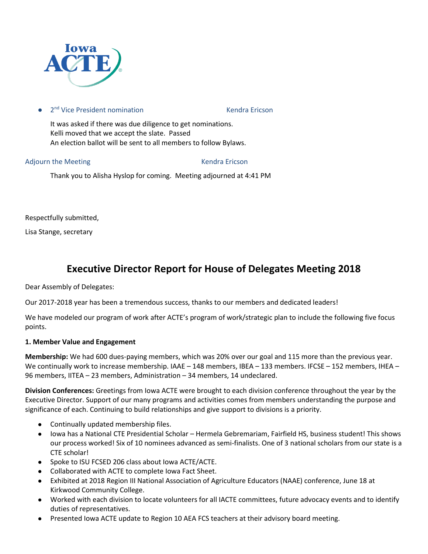

● 2<sup>nd</sup> Vice President nomination 
■ Nendra Ericson

It was asked if there was due diligence to get nominations. Kelli moved that we accept the slate. Passed An election ballot will be sent to all members to follow Bylaws.

Adjourn the Meeting Theorem 2012 Contract and Mendra Ericson

Thank you to Alisha Hyslop for coming. Meeting adjourned at 4:41 PM

Respectfully submitted,

Lisa Stange, secretary

## **Executive Director Report for House of Delegates Meeting 2018**

Dear Assembly of Delegates:

Our 2017-2018 year has been a tremendous success, thanks to our members and dedicated leaders!

We have modeled our program of work after ACTE's program of work/strategic plan to include the following five focus points.

#### **1. Member Value and Engagement**

**Membership:** We had 600 dues-paying members, which was 20% over our goal and 115 more than the previous year. We continually work to increase membership. IAAE – 148 members, IBEA – 133 members. IFCSE – 152 members, IHEA – 96 members, IITEA – 23 members, Administration – 34 members, 14 undeclared.

**Division Conferences:** Greetings from Iowa ACTE were brought to each division conference throughout the year by the Executive Director. Support of our many programs and activities comes from members understanding the purpose and significance of each. Continuing to build relationships and give support to divisions is a priority.

- Continually updated membership files.
- Iowa has a National CTE Presidential Scholar Hermela Gebremariam, Fairfield HS, business student! This shows our process worked! Six of 10 nominees advanced as semi-finalists. One of 3 national scholars from our state is a CTE scholar!
- Spoke to ISU FCSED 206 class about Iowa ACTE/ACTE.
- Collaborated with ACTE to complete Iowa Fact Sheet.
- Exhibited at 2018 Region III National Association of Agriculture Educators (NAAE) conference, June 18 at Kirkwood Community College.
- Worked with each division to locate volunteers for all IACTE committees, future advocacy events and to identify duties of representatives.
- Presented Iowa ACTE update to Region 10 AEA FCS teachers at their advisory board meeting.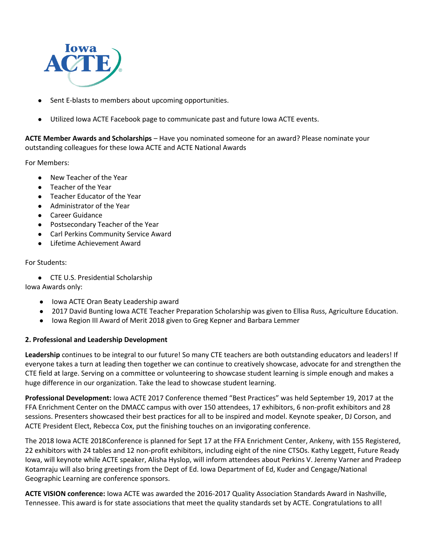

- Sent E-blasts to members about upcoming opportunities.
- Utilized Iowa ACTE Facebook page to communicate past and future Iowa ACTE events.

**ACTE Member Awards and Scholarships** – Have you nominated someone for an award? Please nominate your outstanding colleagues for these Iowa ACTE and ACTE National Awards

For Members:

- New Teacher of the Year
- Teacher of the Year
- Teacher Educator of the Year
- Administrator of the Year
- Career Guidance
- Postsecondary Teacher of the Year
- Carl Perkins Community Service Award
- **Lifetime Achievement Award**

#### For Students:

● CTE U.S. Presidential Scholarship

Iowa Awards only:

- Iowa ACTE Oran Beaty Leadership award
- 2017 David Bunting Iowa ACTE Teacher Preparation Scholarship was given to Ellisa Russ, Agriculture Education.
- Iowa Region III Award of Merit 2018 given to Greg Kepner and Barbara Lemmer

#### **2. Professional and Leadership Development**

**Leadership** continues to be integral to our future! So many CTE teachers are both outstanding educators and leaders! If everyone takes a turn at leading then together we can continue to creatively showcase, advocate for and strengthen the CTE field at large. Serving on a committee or volunteering to showcase student learning is simple enough and makes a huge difference in our organization. Take the lead to showcase student learning.

**Professional Development:** Iowa ACTE 2017 Conference themed "Best Practices" was held September 19, 2017 at the FFA Enrichment Center on the DMACC campus with over 150 attendees, 17 exhibitors, 6 non-profit exhibitors and 28 sessions. Presenters showcased their best practices for all to be inspired and model. Keynote speaker, DJ Corson, and ACTE President Elect, Rebecca Cox, put the finishing touches on an invigorating conference.

The 2018 Iowa ACTE 2018Conference is planned for Sept 17 at the FFA Enrichment Center, Ankeny, with 155 Registered, 22 exhibitors with 24 tables and 12 non-profit exhibitors, including eight of the nine CTSOs. Kathy Leggett, Future Ready Iowa, will keynote while ACTE speaker, Alisha Hyslop, will inform attendees about Perkins V. Jeremy Varner and Pradeep Kotamraju will also bring greetings from the Dept of Ed. Iowa Department of Ed, Kuder and Cengage/National Geographic Learning are conference sponsors.

**ACTE VISION conference:** Iowa ACTE was awarded the 2016-2017 Quality Association Standards Award in Nashville, Tennessee. This award is for state associations that meet the quality standards set by ACTE. Congratulations to all!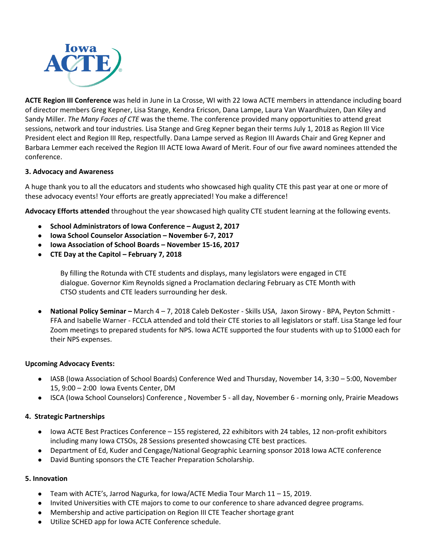

**ACTE Region III Conference** was held in June in La Crosse, WI with 22 Iowa ACTE members in attendance including board of director members Greg Kepner, Lisa Stange, Kendra Ericson, Dana Lampe, Laura Van Waardhuizen, Dan Kiley and Sandy Miller. *The Many Faces of CTE* was the theme. The conference provided many opportunities to attend great sessions, network and tour industries. Lisa Stange and Greg Kepner began their terms July 1, 2018 as Region III Vice President elect and Region III Rep, respectfully. Dana Lampe served as Region III Awards Chair and Greg Kepner and Barbara Lemmer each received the Region III ACTE Iowa Award of Merit. Four of our five award nominees attended the conference.

#### **3. Advocacy and Awareness**

A huge thank you to all the educators and students who showcased high quality CTE this past year at one or more of these advocacy events! Your efforts are greatly appreciated! You make a difference!

**Advocacy Efforts attended** throughout the year showcased high quality CTE student learning at the following events.

- **School Administrators of Iowa Conference – August 2, 2017**
- **Iowa School Counselor Association – November 6-7, 2017**
- **Iowa Association of School Boards – November 15-16, 2017**
- **CTE Day at the Capitol – February 7, 2018**

By filling the Rotunda with CTE students and displays, many legislators were engaged in CTE dialogue. Governor Kim Reynolds signed a Proclamation declaring February as CTE Month with CTSO students and CTE leaders surrounding her desk.

● **National Policy Seminar –** March 4 – 7, 2018 Caleb DeKoster - Skills USA, Jaxon Sirowy - BPA, Peyton Schmitt - FFA and Isabelle Warner - FCCLA attended and told their CTE stories to all legislators or staff. Lisa Stange led four Zoom meetings to prepared students for NPS. Iowa ACTE supported the four students with up to \$1000 each for their NPS expenses.

#### **Upcoming Advocacy Events:**

- IASB (Iowa Association of School Boards) Conference Wed and Thursday, November 14, 3:30 5:00, November 15, 9:00 – 2:00 Iowa Events Center, DM
- ISCA (Iowa School Counselors) Conference , November 5 all day, November 6 morning only, Prairie Meadows

#### **4. Strategic Partnerships**

- Iowa ACTE Best Practices Conference 155 registered, 22 exhibitors with 24 tables, 12 non-profit exhibitors including many Iowa CTSOs, 28 Sessions presented showcasing CTE best practices.
- Department of Ed, Kuder and Cengage/National Geographic Learning sponsor 2018 Iowa ACTE conference
- David Bunting sponsors the CTE Teacher Preparation Scholarship.

#### **5. Innovation**

- Team with ACTE's, Jarrod Nagurka, for Iowa/ACTE Media Tour March 11 15, 2019.
- Invited Universities with CTE majors to come to our conference to share advanced degree programs.
- Membership and active participation on Region III CTE Teacher shortage grant
- Utilize SCHED app for Iowa ACTE Conference schedule.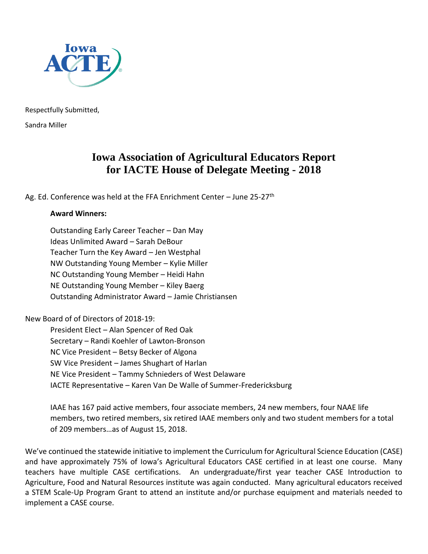

Respectfully Submitted, Sandra Miller

## **Iowa Association of Agricultural Educators Report for IACTE House of Delegate Meeting - 2018**

Ag. Ed. Conference was held at the FFA Enrichment Center – June 25-27<sup>th</sup>

### **Award Winners:**

Outstanding Early Career Teacher – Dan May Ideas Unlimited Award – Sarah DeBour Teacher Turn the Key Award – Jen Westphal NW Outstanding Young Member – Kylie Miller NC Outstanding Young Member – Heidi Hahn NE Outstanding Young Member – Kiley Baerg Outstanding Administrator Award – Jamie Christiansen

New Board of of Directors of 2018-19:

President Elect – Alan Spencer of Red Oak Secretary – Randi Koehler of Lawton-Bronson NC Vice President – Betsy Becker of Algona SW Vice President – James Shughart of Harlan NE Vice President – Tammy Schnieders of West Delaware IACTE Representative – Karen Van De Walle of Summer-Fredericksburg

IAAE has 167 paid active members, four associate members, 24 new members, four NAAE life members, two retired members, six retired IAAE members only and two student members for a total of 209 members…as of August 15, 2018.

We've continued the statewide initiative to implement the Curriculum for Agricultural Science Education (CASE) and have approximately 75% of Iowa's Agricultural Educators CASE certified in at least one course. Many teachers have multiple CASE certifications. An undergraduate/first year teacher CASE Introduction to Agriculture, Food and Natural Resources institute was again conducted. Many agricultural educators received a STEM Scale-Up Program Grant to attend an institute and/or purchase equipment and materials needed to implement a CASE course.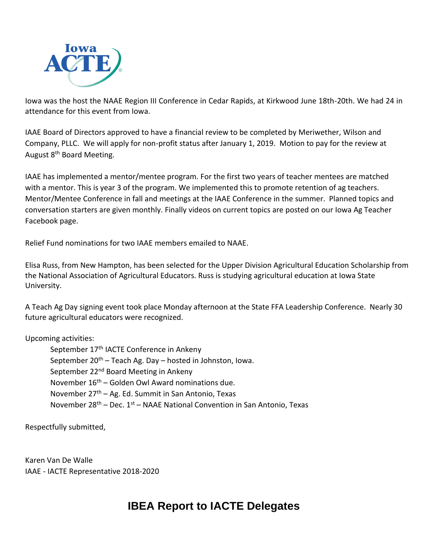

Iowa was the host the NAAE Region III Conference in Cedar Rapids, at Kirkwood June 18th-20th. We had 24 in attendance for this event from Iowa.

IAAE Board of Directors approved to have a financial review to be completed by Meriwether, Wilson and Company, PLLC. We will apply for non-profit status after January 1, 2019. Motion to pay for the review at August 8<sup>th</sup> Board Meeting.

IAAE has implemented a mentor/mentee program. For the first two years of teacher mentees are matched with a mentor. This is year 3 of the program. We implemented this to promote retention of ag teachers. Mentor/Mentee Conference in fall and meetings at the IAAE Conference in the summer. Planned topics and conversation starters are given monthly. Finally videos on current topics are posted on our Iowa Ag Teacher Facebook page.

Relief Fund nominations for two IAAE members emailed to NAAE.

Elisa Russ, from New Hampton, has been selected for the Upper Division Agricultural Education Scholarship from the National Association of Agricultural Educators. Russ is studying agricultural education at Iowa State University.

A Teach Ag Day signing event took place Monday afternoon at the State FFA Leadership Conference. Nearly 30 future agricultural educators were recognized.

### Upcoming activities:

September 17<sup>th</sup> IACTE Conference in Ankeny September  $20^{th}$  – Teach Ag. Day – hosted in Johnston, Iowa. September 22<sup>nd</sup> Board Meeting in Ankeny November  $16<sup>th</sup>$  – Golden Owl Award nominations due. November  $27<sup>th</sup> - Ag. Ed. Summit in San Antonio, Texas$ November  $28^{th}$  – Dec.  $1^{st}$  – NAAE National Convention in San Antonio, Texas

Respectfully submitted,

Karen Van De Walle IAAE - IACTE Representative 2018-2020

## **IBEA Report to IACTE Delegates**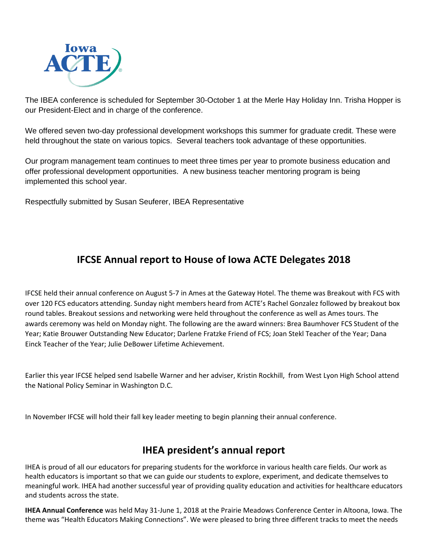

The IBEA conference is scheduled for September 30-October 1 at the Merle Hay Holiday Inn. Trisha Hopper is our President-Elect and in charge of the conference.

We offered seven two-day professional development workshops this summer for graduate credit. These were held throughout the state on various topics. Several teachers took advantage of these opportunities.

Our program management team continues to meet three times per year to promote business education and offer professional development opportunities. A new business teacher mentoring program is being implemented this school year.

Respectfully submitted by Susan Seuferer, IBEA Representative

## **IFCSE Annual report to House of Iowa ACTE Delegates 2018**

IFCSE held their annual conference on August 5-7 in Ames at the Gateway Hotel. The theme was Breakout with FCS with over 120 FCS educators attending. Sunday night members heard from ACTE's Rachel Gonzalez followed by breakout box round tables. Breakout sessions and networking were held throughout the conference as well as Ames tours. The awards ceremony was held on Monday night. The following are the award winners: Brea Baumhover FCS Student of the Year; Katie Brouwer Outstanding New Educator; Darlene Fratzke Friend of FCS; Joan Stekl Teacher of the Year; Dana Einck Teacher of the Year; Julie DeBower Lifetime Achievement.

Earlier this year IFCSE helped send Isabelle Warner and her adviser, Kristin Rockhill, from West Lyon High School attend the National Policy Seminar in Washington D.C.

In November IFCSE will hold their fall key leader meeting to begin planning their annual conference.

## **IHEA president's annual report**

IHEA is proud of all our educators for preparing students for the workforce in various health care fields. Our work as health educators is important so that we can guide our students to explore, experiment, and dedicate themselves to meaningful work. IHEA had another successful year of providing quality education and activities for healthcare educators and students across the state.

**IHEA Annual Conference** was held May 31-June 1, 2018 at the Prairie Meadows Conference Center in Altoona, Iowa. The theme was "Health Educators Making Connections". We were pleased to bring three different tracks to meet the needs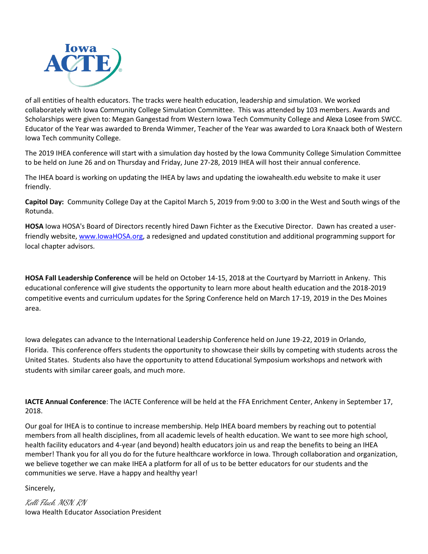

of all entities of health educators. The tracks were health education, leadership and simulation. We worked collaborately with Iowa Community College Simulation Committee. This was attended by 103 members. Awards and Scholarships were given to: Megan Gangestad from Western Iowa Tech Community College and Alexa Losee from SWCC. Educator of the Year was awarded to Brenda Wimmer, Teacher of the Year was awarded to Lora Knaack both of Western Iowa Tech community College.

The 2019 IHEA conference will start with a simulation day hosted by the Iowa Community College Simulation Committee to be held on June 26 and on Thursday and Friday, June 27-28, 2019 IHEA will host their annual conference.

The IHEA board is working on updating the IHEA by laws and updating the iowahealth.edu website to make it user friendly.

**Capitol Day:** Community College Day at the Capitol March 5, 2019 from 9:00 to 3:00 in the West and South wings of the Rotunda.

**HOSA** Iowa HOSA's Board of Directors recently hired Dawn Fichter as the Executive Director. Dawn has created a userfriendly website, [www.IowaHOSA.org,](http://www.iowahosa.org/) a redesigned and updated constitution and additional programming support for local chapter advisors.

**HOSA Fall Leadership Conference** will be held on October 14-15, 2018 at the Courtyard by Marriott in Ankeny. This educational conference will give students the opportunity to learn more about health education and the 2018-2019 competitive events and curriculum updates for the Spring Conference held on March 17-19, 2019 in the Des Moines area.

Iowa delegates can advance to the International Leadership Conference held on June 19-22, 2019 in Orlando, Florida. This conference offers students the opportunity to showcase their skills by competing with students across the United States. Students also have the opportunity to attend Educational Symposium workshops and network with students with similar career goals, and much more.

**IACTE Annual Conference**: The IACTE Conference will be held at the FFA Enrichment Center, Ankeny in September 17, 2018.

Our goal for IHEA is to continue to increase membership. Help IHEA board members by reaching out to potential members from all health disciplines, from all academic levels of health education. We want to see more high school, health facility educators and 4-year (and beyond) health educators join us and reap the benefits to being an IHEA member! Thank you for all you do for the future healthcare workforce in Iowa. Through collaboration and organization, we believe together we can make IHEA a platform for all of us to be better educators for our students and the communities we serve. Have a happy and healthy year!

Sincerely,

Kelli Flack, MSN, RN Iowa Health Educator Association President